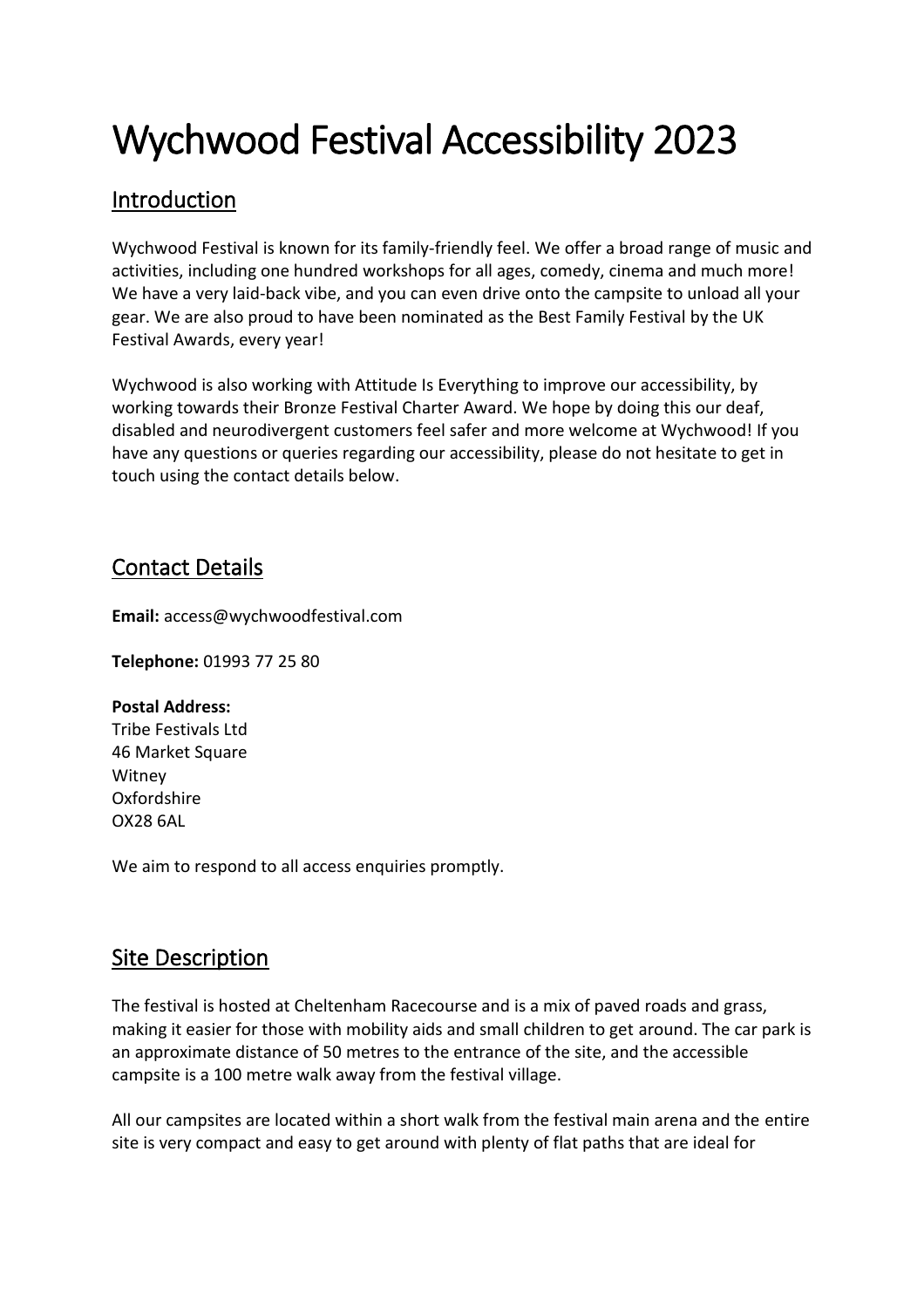# Wychwood Festival Accessibility 2023

# Introduction

Wychwood Festival is known for its family-friendly feel. We offer a broad range of music and activities, including one hundred workshops for all ages, comedy, cinema and much more! We have a very laid-back vibe, and you can even drive onto the campsite to unload all your gear. We are also proud to have been nominated as the Best Family Festival by the UK Festival Awards, every year!

Wychwood is also working with Attitude Is Everything to improve our accessibility, by working towards their Bronze Festival Charter Award. We hope by doing this our deaf, disabled and neurodivergent customers feel safer and more welcome at Wychwood! If you have any questions or queries regarding our accessibility, please do not hesitate to get in touch using the contact details below.

# Contact Details

**Email:** access@wychwoodfestival.com

**Telephone:** 01993 77 25 80

#### **Postal Address:**

Tribe Festivals Ltd 46 Market Square Witney Oxfordshire OX28 6AL

We aim to respond to all access enquiries promptly.

# Site Description

The festival is hosted at Cheltenham Racecourse and is a mix of paved roads and grass, making it easier for those with mobility aids and small children to get around. The car park is an approximate distance of 50 metres to the entrance of the site, and the accessible campsite is a 100 metre walk away from the festival village.

All our campsites are located within a short walk from the festival main arena and the entire site is very compact and easy to get around with plenty of flat paths that are ideal for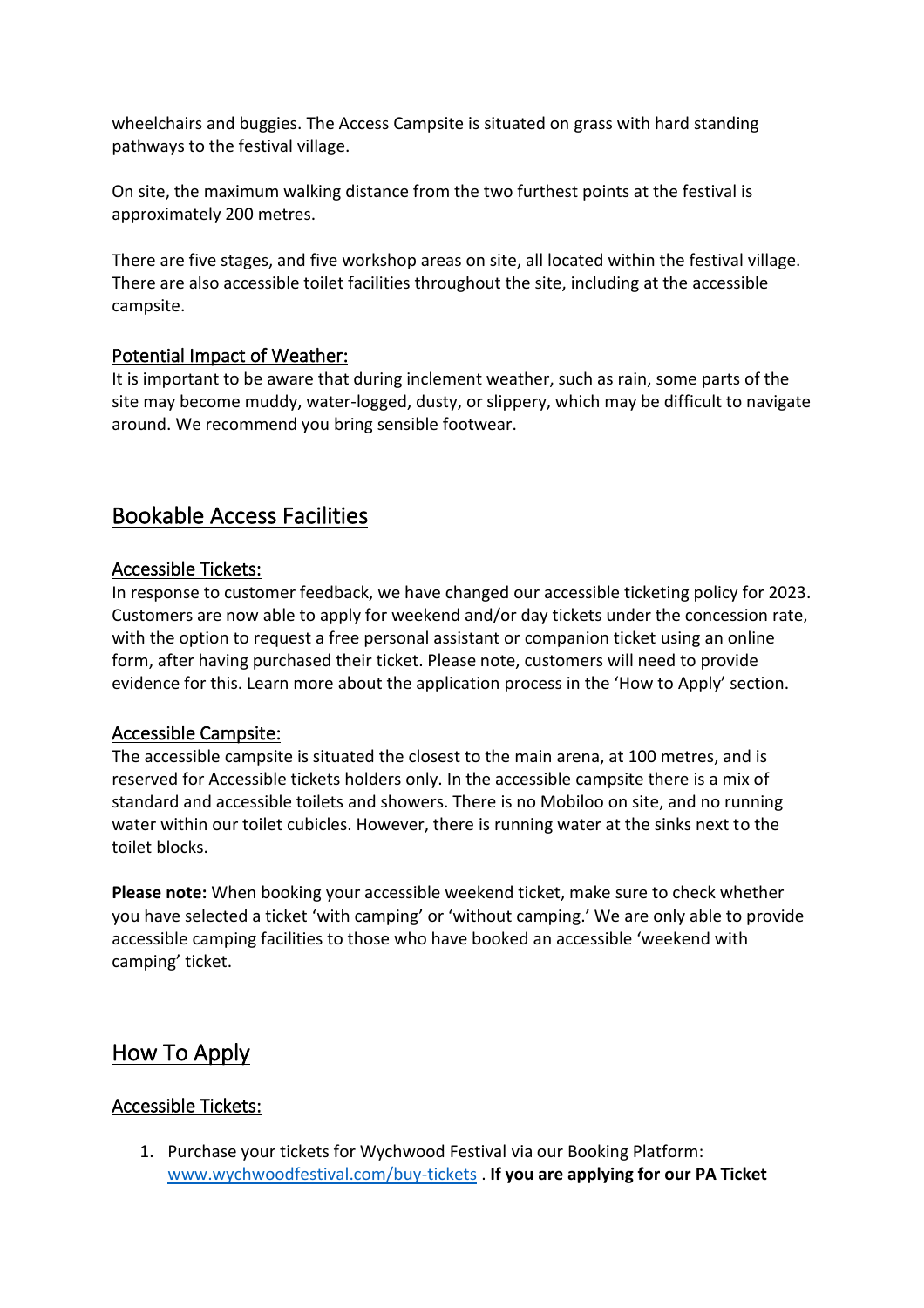wheelchairs and buggies. The Access Campsite is situated on grass with hard standing pathways to the festival village.

On site, the maximum walking distance from the two furthest points at the festival is approximately 200 metres.

There are five stages, and five workshop areas on site, all located within the festival village. There are also accessible toilet facilities throughout the site, including at the accessible campsite.

## Potential Impact of Weather:

It is important to be aware that during inclement weather, such as rain, some parts of the site may become muddy, water-logged, dusty, or slippery, which may be difficult to navigate around. We recommend you bring sensible footwear.

# Bookable Access Facilities

#### Accessible Tickets:

In response to customer feedback, we have changed our accessible ticketing policy for 2023. Customers are now able to apply for weekend and/or day tickets under the concession rate, with the option to request a free personal assistant or companion ticket using an online form, after having purchased their ticket. Please note, customers will need to provide evidence for this. Learn more about the application process in the 'How to Apply' section.

#### Accessible Campsite:

The accessible campsite is situated the closest to the main arena, at 100 metres, and is reserved for Accessible tickets holders only. In the accessible campsite there is a mix of standard and accessible toilets and showers. There is no Mobiloo on site, and no running water within our toilet cubicles. However, there is running water at the sinks next to the toilet blocks.

**Please note:** When booking your accessible weekend ticket, make sure to check whether you have selected a ticket 'with camping' or 'without camping.' We are only able to provide accessible camping facilities to those who have booked an accessible 'weekend with camping' ticket.

# How To Apply

#### Accessible Tickets:

1. Purchase your tickets for Wychwood Festival via our Booking Platform: [www.wychwoodfestival.com/buy-tickets](http://www.wychwoodfestival.com/buy-tickets) . **If you are applying for our PA Ticket**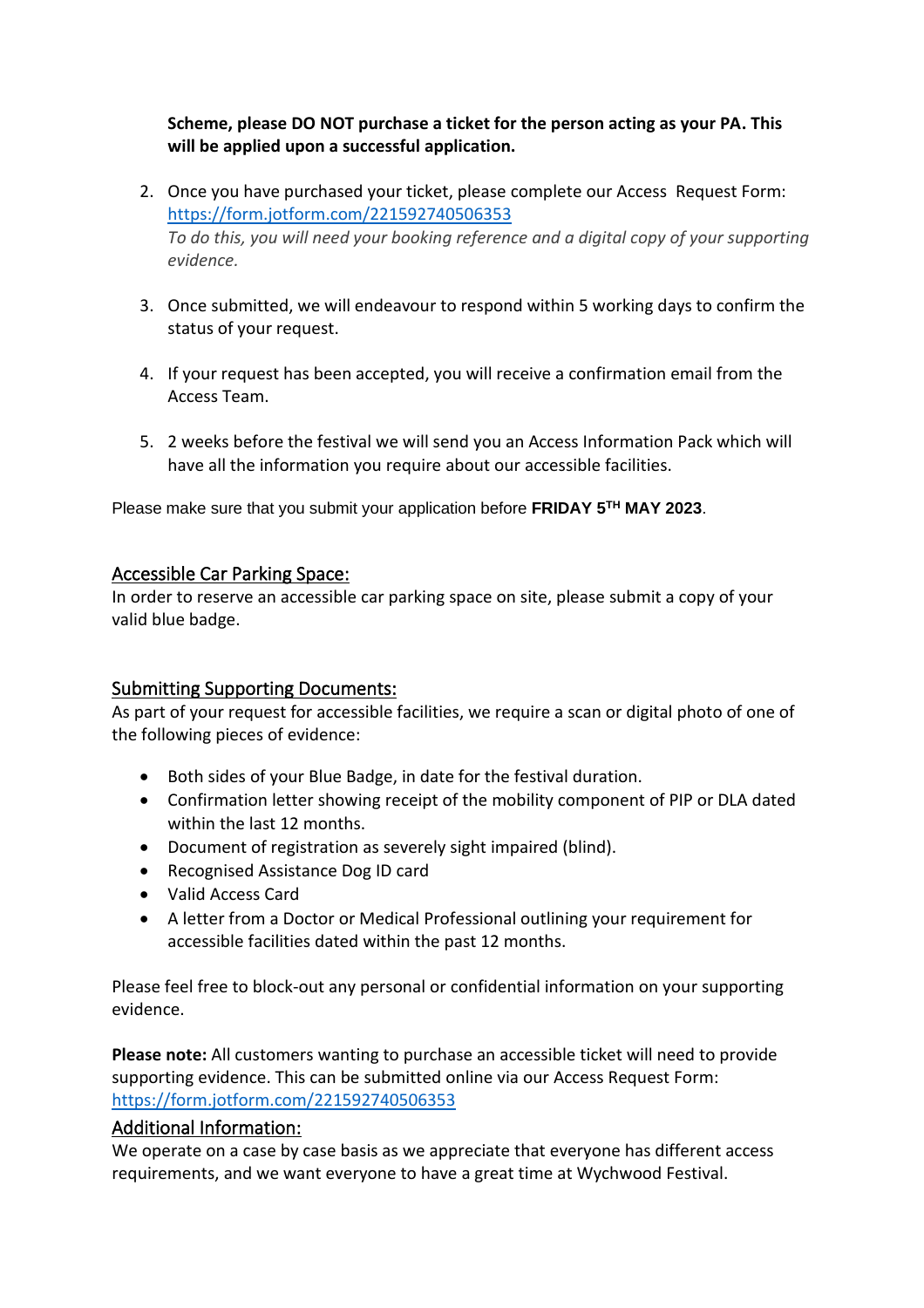#### **Scheme, please DO NOT purchase a ticket for the person acting as your PA. This will be applied upon a successful application.**

- 2. Once you have purchased your ticket, please complete our Access Request Form: <https://form.jotform.com/221592740506353> *To do this, you will need your booking reference and a digital copy of your supporting evidence.*
- 3. Once submitted, we will endeavour to respond within 5 working days to confirm the status of your request.
- 4. If your request has been accepted, you will receive a confirmation email from the Access Team.
- 5. 2 weeks before the festival we will send you an Access Information Pack which will have all the information you require about our accessible facilities.

Please make sure that you submit your application before **FRIDAY 5TH MAY 2023**.

#### Accessible Car Parking Space:

In order to reserve an accessible car parking space on site, please submit a copy of your valid blue badge.

## Submitting Supporting Documents:

As part of your request for accessible facilities, we require a scan or digital photo of one of the following pieces of evidence:

- Both sides of your Blue Badge, in date for the festival duration.
- Confirmation letter showing receipt of the mobility component of PIP or DLA dated within the last 12 months.
- Document of registration as severely sight impaired (blind).
- Recognised Assistance Dog ID card
- Valid Access Card
- A letter from a Doctor or Medical Professional outlining your requirement for accessible facilities dated within the past 12 months.

Please feel free to block-out any personal or confidential information on your supporting evidence.

**Please note:** All customers wanting to purchase an accessible ticket will need to provide supporting evidence. This can be submitted online via our Access Request Form: <https://form.jotform.com/221592740506353>

## Additional Information:

We operate on a case by case basis as we appreciate that everyone has different access requirements, and we want everyone to have a great time at Wychwood Festival.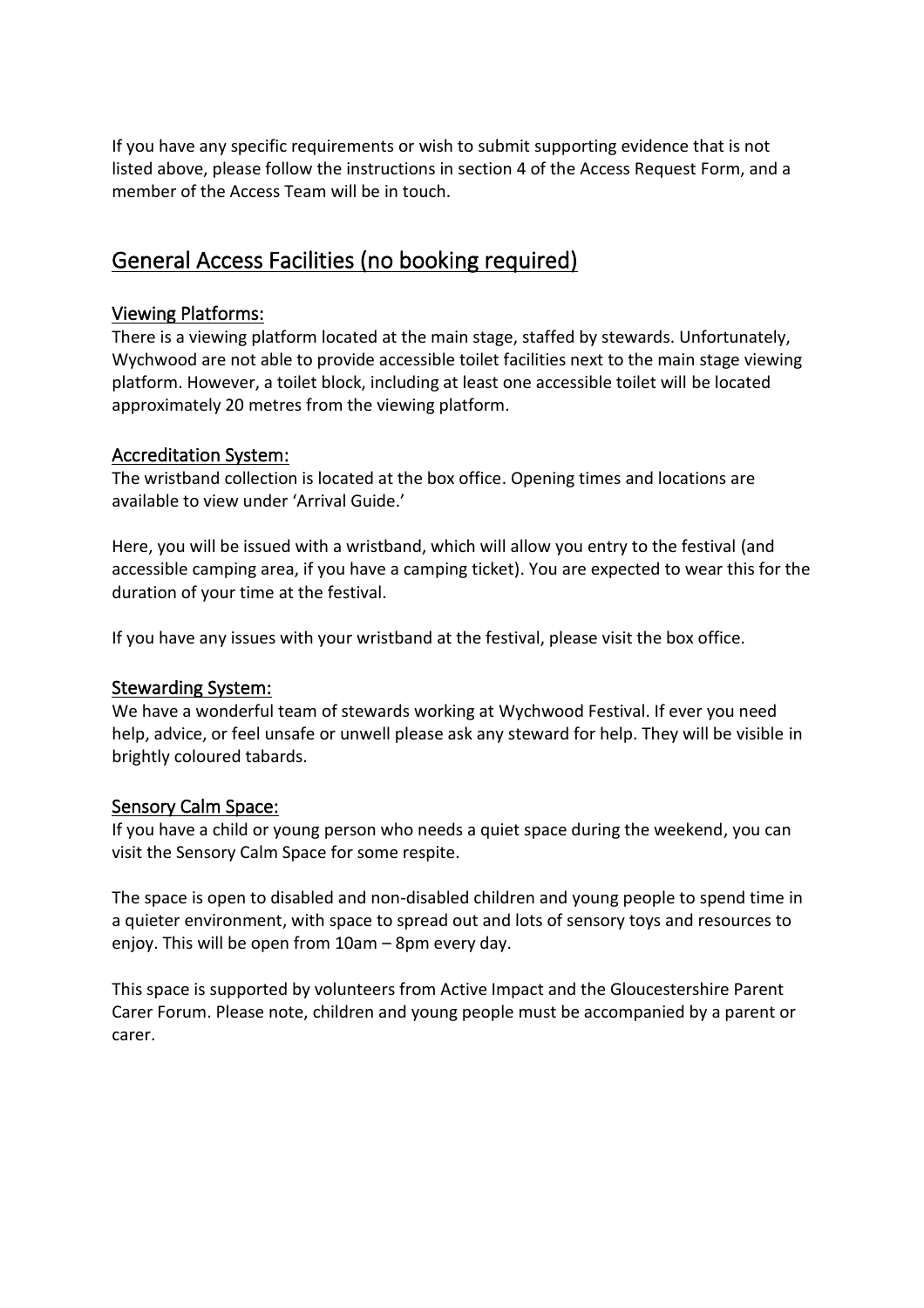If you have any specific requirements or wish to submit supporting evidence that is not listed above, please follow the instructions in section 4 of the Access Request Form, and a member of the Access Team will be in touch.

# General Access Facilities (no booking required)

## Viewing Platforms:

There is a viewing platform located at the main stage, staffed by stewards. Unfortunately, Wychwood are not able to provide accessible toilet facilities next to the main stage viewing platform. However, a toilet block, including at least one accessible toilet will be located approximately 20 metres from the viewing platform.

#### Accreditation System:

The wristband collection is located at the box office. Opening times and locations are available to view under 'Arrival Guide.'

Here, you will be issued with a wristband, which will allow you entry to the festival (and accessible camping area, if you have a camping ticket). You are expected to wear this for the duration of your time at the festival.

If you have any issues with your wristband at the festival, please visit the box office.

#### Stewarding System:

We have a wonderful team of stewards working at Wychwood Festival. If ever you need help, advice, or feel unsafe or unwell please ask any steward for help. They will be visible in brightly coloured tabards.

#### Sensory Calm Space:

If you have a child or young person who needs a quiet space during the weekend, you can visit the Sensory Calm Space for some respite.

The space is open to disabled and non-disabled children and young people to spend time in a quieter environment, with space to spread out and lots of sensory toys and resources to enjoy. This will be open from 10am – 8pm every day.

This space is supported by volunteers from Active Impact and the Gloucestershire Parent Carer Forum. Please note, children and young people must be accompanied by a parent or carer.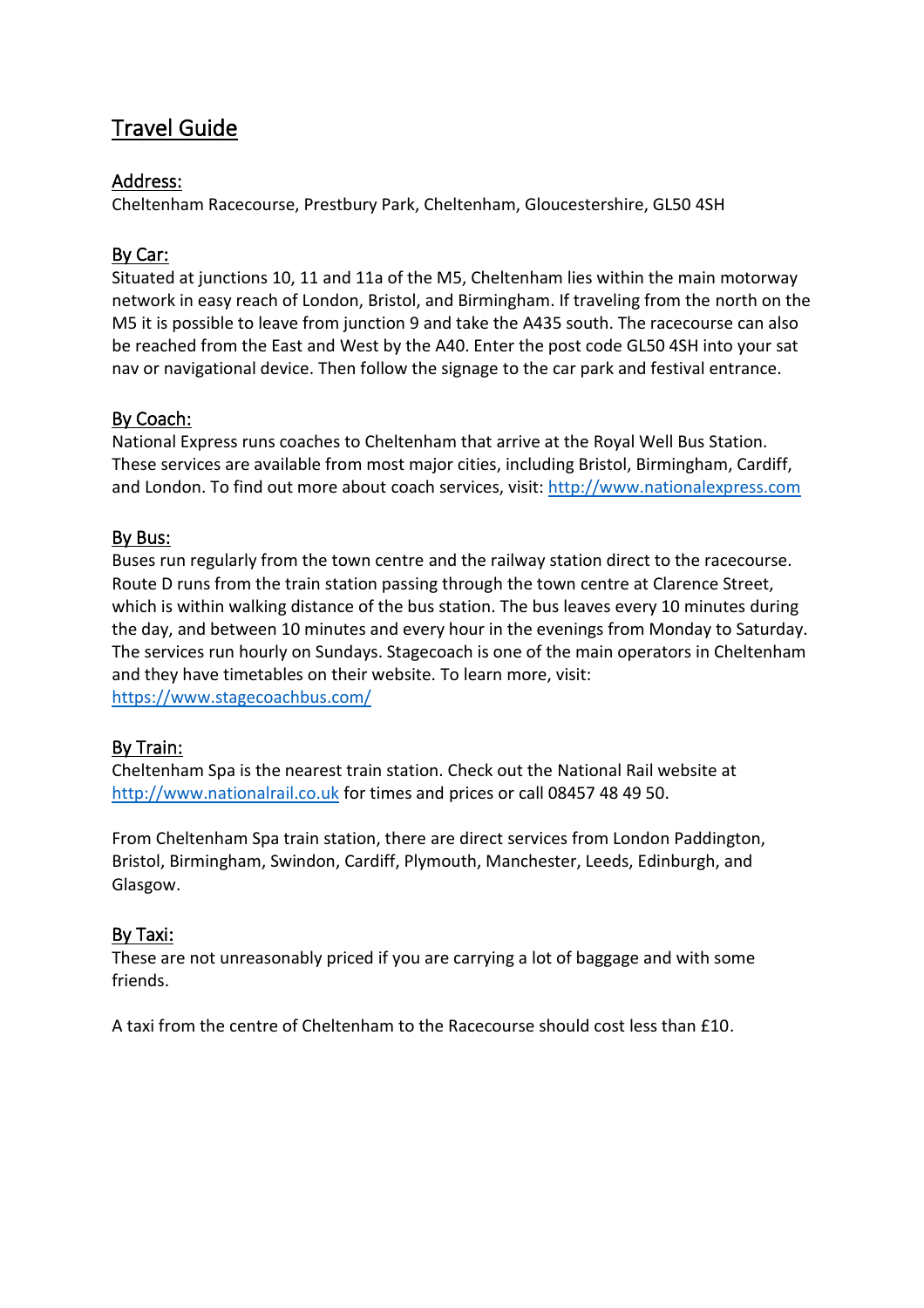# Travel Guide

## Address:

Cheltenham Racecourse, Prestbury Park, Cheltenham, Gloucestershire, GL50 4SH

## By Car:

Situated at junctions 10, 11 and 11a of the M5, Cheltenham lies within the main motorway network in easy reach of London, Bristol, and Birmingham. If traveling from the north on the M5 it is possible to leave from junction 9 and take the A435 south. The racecourse can also be reached from the East and West by the A40. Enter the post code GL50 4SH into your sat nav or navigational device. Then follow the signage to the car park and festival entrance.

## By Coach:

National Express runs coaches to Cheltenham that arrive at the Royal Well Bus Station. These services are available from most major cities, including Bristol, Birmingham, Cardiff, and London. To find out more about coach services, visit: [http://www.nationalexpress.com](http://www.nationalexpress.com/)

## By Bus:

Buses run regularly from the town centre and the railway station direct to the racecourse. Route D runs from the train station passing through the town centre at Clarence Street, which is within walking distance of the bus station. The bus leaves every 10 minutes during the day, and between 10 minutes and every hour in the evenings from Monday to Saturday. The services run hourly on Sundays. Stagecoach is one of the main operators in Cheltenham and they have timetables on their website. To learn more, visit: <https://www.stagecoachbus.com/>

## By Train:

Cheltenham Spa is the nearest train station. Check out the National Rail website at [http://www.nationalrail.co.uk](http://www.nationalrail.co.uk/) for times and prices or call 08457 48 49 50.

From Cheltenham Spa train station, there are direct services from London Paddington, Bristol, Birmingham, Swindon, Cardiff, Plymouth, Manchester, Leeds, Edinburgh, and Glasgow.

## By Taxi:

These are not unreasonably priced if you are carrying a lot of baggage and with some friends.

A taxi from the centre of Cheltenham to the Racecourse should cost less than £10.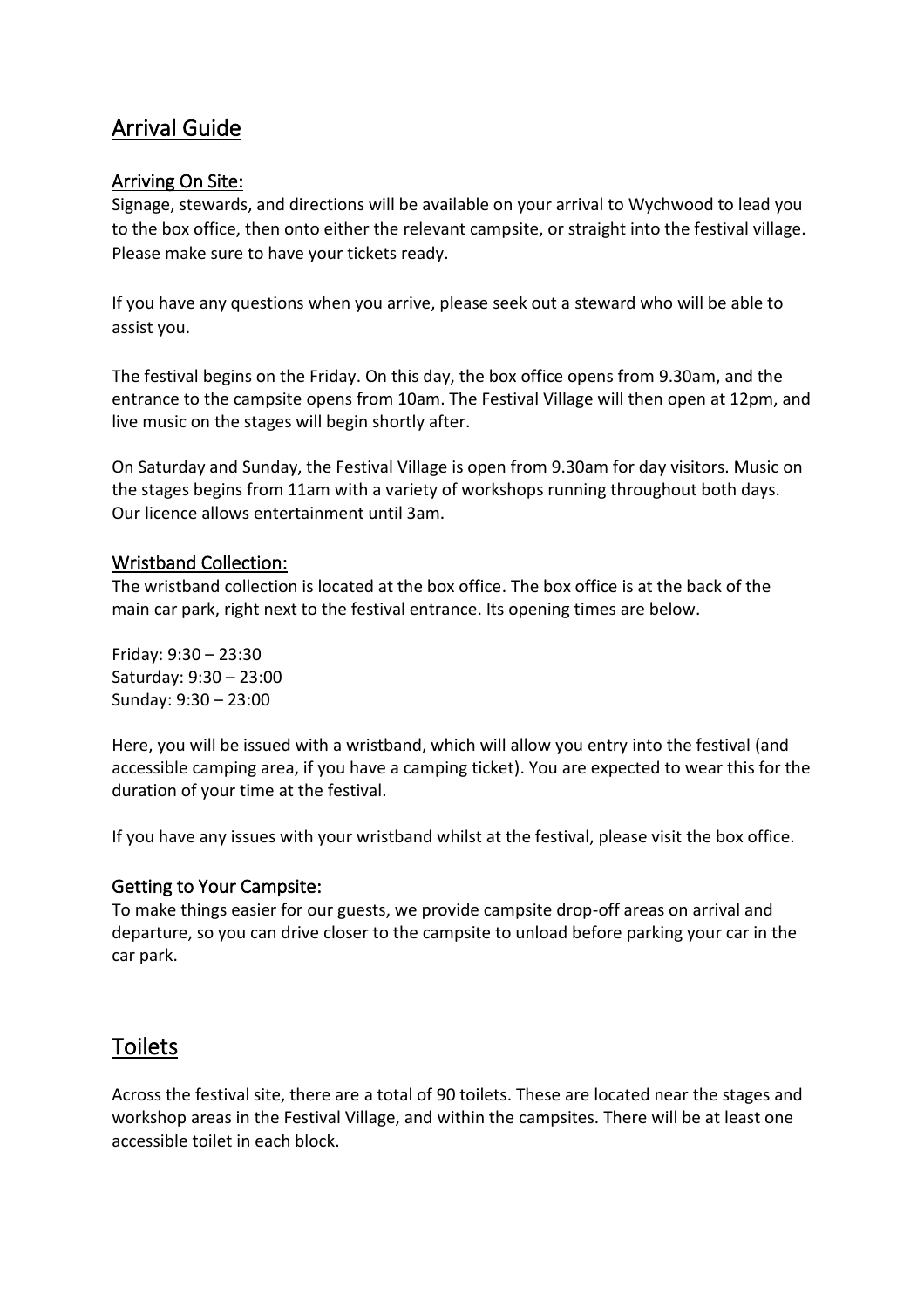# Arrival Guide

## Arriving On Site:

Signage, stewards, and directions will be available on your arrival to Wychwood to lead you to the box office, then onto either the relevant campsite, or straight into the festival village. Please make sure to have your tickets ready.

If you have any questions when you arrive, please seek out a steward who will be able to assist you.

The festival begins on the Friday. On this day, the box office opens from 9.30am, and the entrance to the campsite opens from 10am. The Festival Village will then open at 12pm, and live music on the stages will begin shortly after.

On Saturday and Sunday, the Festival Village is open from 9.30am for day visitors. Music on the stages begins from 11am with a variety of workshops running throughout both days. Our licence allows entertainment until 3am.

#### Wristband Collection:

The wristband collection is located at the box office. The box office is at the back of the main car park, right next to the festival entrance. Its opening times are below.

Friday: 9:30 – 23:30 Saturday: 9:30 – 23:00 Sunday: 9:30 – 23:00

Here, you will be issued with a wristband, which will allow you entry into the festival (and accessible camping area, if you have a camping ticket). You are expected to wear this for the duration of your time at the festival.

If you have any issues with your wristband whilst at the festival, please visit the box office.

#### Getting to Your Campsite:

To make things easier for our guests, we provide campsite drop-off areas on arrival and departure, so you can drive closer to the campsite to unload before parking your car in the car park.

## **Toilets**

Across the festival site, there are a total of 90 toilets. These are located near the stages and workshop areas in the Festival Village, and within the campsites. There will be at least one accessible toilet in each block.